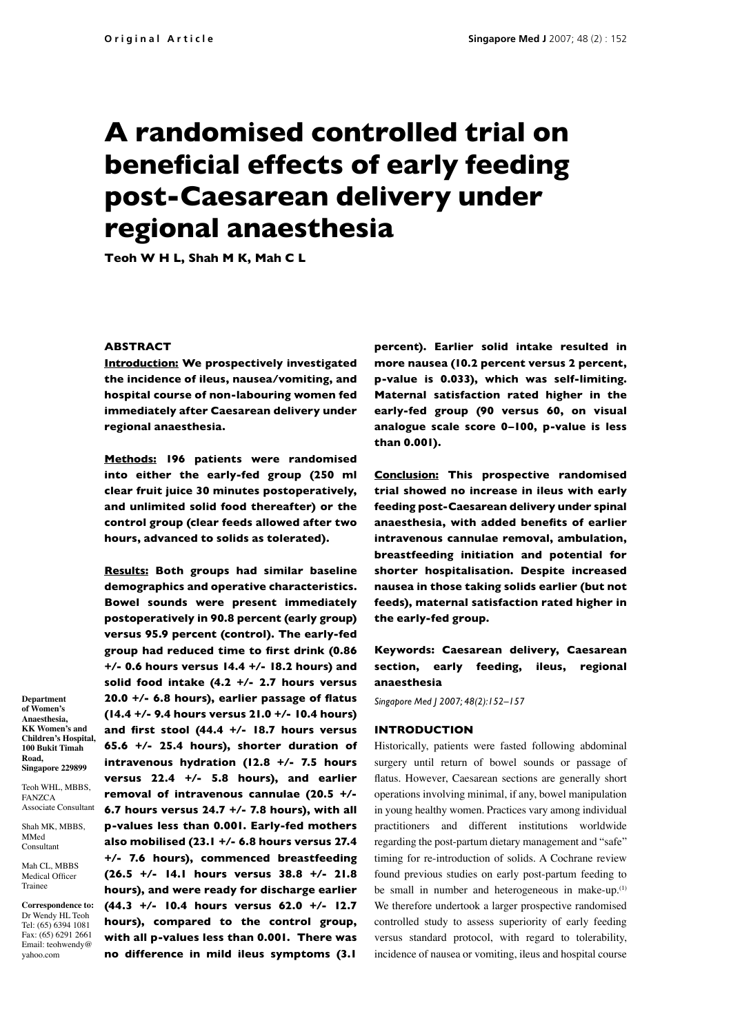# **A randomised controlled trial on beneficial effects of early feeding post-Caesarean delivery under regional anaesthesia**

**Teoh W H L, Shah M K, Mah C L**

## **ABSTRACT**

**Department of Women's Anaesthesia, KK Women's and Children's Hospital, 100 Bukit Timah Road, Singapore 229899** Teoh WHL, MBBS, FANZCA Associate Consultant Shah MK, MBBS, MMed Consultant Mah CL, MBBS Medical Officer Trainee

**Correspondence to:** Dr Wendy HL Teoh Tel: (65) 6394 1081 Fax: (65) 6291 2661 Email: teohwendy@ yahoo.com

**Introduction: We prospectively investigated the incidence of ileus, nausea/vomiting, and hospital course of non-labouring women fed immediately after Caesarean delivery under regional anaesthesia.** 

**Methods: 196 patients were randomised into either the early-fed group (250 ml clear fruit juice 30 minutes postoperatively, and unlimited solid food thereafter) or the control group (clear feeds allowed after two hours, advanced to solids as tolerated).**

**Results: Both groups had similar baseline demographics and operative characteristics. Bowel sounds were present immediately postoperatively in 90.8 percent (early group) versus 95.9 percent (control). The early-fed**  group had reduced time to first drink (0.86 **+/- 0.6 hours versus 14.4 +/- 18.2 hours) and solid food intake (4.2 +/- 2.7 hours versus**  20.0 +/- 6.8 hours), earlier passage of flatus **(14.4 +/- 9.4 hours versus 21.0 +/- 10.4 hours) and fi rst stool (44.4 +/- 18.7 hours versus 65.6 +/- 25.4 hours), shorter duration of intravenous hydration (12.8 +/- 7.5 hours versus 22.4 +/- 5.8 hours), and earlier removal of intravenous cannulae (20.5 +/- 6.7 hours versus 24.7 +/- 7.8 hours), with all p-values less than 0.001. Early-fed mothers also mobilised (23.1 +/- 6.8 hours versus 27.4 +/- 7.6 hours), commenced breastfeeding (26.5 +/- 14.1 hours versus 38.8 +/- 21.8 hours), and were ready for discharge earlier (44.3 +/- 10.4 hours versus 62.0 +/- 12.7 hours), compared to the control group, with all p-values less than 0.001. There was no difference in mild ileus symptoms (3.1** 

**percent). Earlier solid intake resulted in more nausea (10.2 percent versus 2 percent, p-value is 0.033), which was self-limiting. Maternal satisfaction rated higher in the early-fed group (90 versus 60, on visual analogue scale score 0–100, p-value is less than 0.001).** 

**Conclusion: This prospective randomised trial showed no increase in ileus with early feeding post-Caesarean delivery under spinal**  anaesthesia, with added benefits of earlier **intravenous cannulae removal, ambulation, breastfeeding initiation and potential for shorter hospitalisation. Despite increased nausea in those taking solids earlier (but not feeds), maternal satisfaction rated higher in the early-fed group.**

## **Keywords: Caesarean delivery, Caesarean section, early feeding, ileus, regional anaesthesia**

*Singapore Med J 2007; 48(2):152–157*

## **INTRODUCTION**

Historically, patients were fasted following abdominal surgery until return of bowel sounds or passage of flatus. However, Caesarean sections are generally short operations involving minimal, if any, bowel manipulation in young healthy women. Practices vary among individual practitioners and different institutions worldwide regarding the post-partum dietary management and "safe" timing for re-introduction of solids. A Cochrane review found previous studies on early post-partum feeding to be small in number and heterogeneous in make-up.<sup>(1)</sup> We therefore undertook a larger prospective randomised controlled study to assess superiority of early feeding versus standard protocol, with regard to tolerability, incidence of nausea or vomiting, ileus and hospital course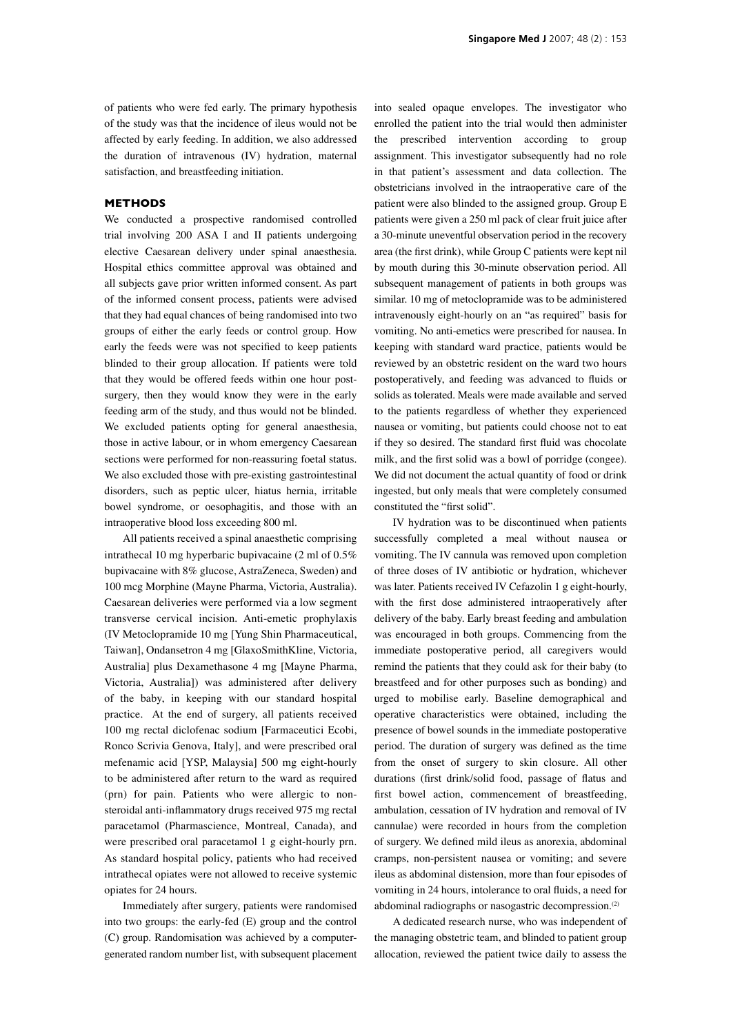of patients who were fed early. The primary hypothesis of the study was that the incidence of ileus would not be affected by early feeding. In addition, we also addressed the duration of intravenous (IV) hydration, maternal satisfaction, and breastfeeding initiation.

## **METHODS**

We conducted a prospective randomised controlled trial involving 200 ASA I and II patients undergoing elective Caesarean delivery under spinal anaesthesia. Hospital ethics committee approval was obtained and all subjects gave prior written informed consent. As part of the informed consent process, patients were advised that they had equal chances of being randomised into two groups of either the early feeds or control group. How early the feeds were was not specified to keep patients blinded to their group allocation. If patients were told that they would be offered feeds within one hour postsurgery, then they would know they were in the early feeding arm of the study, and thus would not be blinded. We excluded patients opting for general anaesthesia, those in active labour, or in whom emergency Caesarean sections were performed for non-reassuring foetal status. We also excluded those with pre-existing gastrointestinal disorders, such as peptic ulcer, hiatus hernia, irritable bowel syndrome, or oesophagitis, and those with an intraoperative blood loss exceeding 800 ml.

All patients received a spinal anaesthetic comprising intrathecal 10 mg hyperbaric bupivacaine (2 ml of 0.5% bupivacaine with 8% glucose, AstraZeneca, Sweden) and 100 mcg Morphine (Mayne Pharma, Victoria, Australia). Caesarean deliveries were performed via a low segment transverse cervical incision. Anti-emetic prophylaxis (IV Metoclopramide 10 mg [Yung Shin Pharmaceutical, Taiwan], Ondansetron 4 mg [GlaxoSmithKline, Victoria, Australia] plus Dexamethasone 4 mg [Mayne Pharma, Victoria, Australia]) was administered after delivery of the baby, in keeping with our standard hospital practice. At the end of surgery, all patients received 100 mg rectal diclofenac sodium [Farmaceutici Ecobi, Ronco Scrivia Genova, Italy], and were prescribed oral mefenamic acid [YSP, Malaysia] 500 mg eight-hourly to be administered after return to the ward as required (prn) for pain. Patients who were allergic to nonsteroidal anti-inflammatory drugs received 975 mg rectal paracetamol (Pharmascience, Montreal, Canada), and were prescribed oral paracetamol 1 g eight-hourly prn. As standard hospital policy, patients who had received intrathecal opiates were not allowed to receive systemic opiates for 24 hours.

Immediately after surgery, patients were randomised into two groups: the early-fed (E) group and the control (C) group. Randomisation was achieved by a computergenerated random number list, with subsequent placement into sealed opaque envelopes. The investigator who enrolled the patient into the trial would then administer the prescribed intervention according to group assignment. This investigator subsequently had no role in that patient's assessment and data collection. The obstetricians involved in the intraoperative care of the patient were also blinded to the assigned group. Group E patients were given a 250 ml pack of clear fruit juice after a 30-minute uneventful observation period in the recovery area (the first drink), while Group C patients were kept nil by mouth during this 30-minute observation period. All subsequent management of patients in both groups was similar. 10 mg of metoclopramide was to be administered intravenously eight-hourly on an "as required" basis for vomiting. No anti-emetics were prescribed for nausea. In keeping with standard ward practice, patients would be reviewed by an obstetric resident on the ward two hours postoperatively, and feeding was advanced to fluids or solids as tolerated. Meals were made available and served to the patients regardless of whether they experienced nausea or vomiting, but patients could choose not to eat if they so desired. The standard first fluid was chocolate milk, and the first solid was a bowl of porridge (congee). We did not document the actual quantity of food or drink ingested, but only meals that were completely consumed constituted the "first solid".

IV hydration was to be discontinued when patients successfully completed a meal without nausea or vomiting. The IV cannula was removed upon completion of three doses of IV antibiotic or hydration, whichever was later. Patients received IV Cefazolin 1 g eight-hourly, with the first dose administered intraoperatively after delivery of the baby. Early breast feeding and ambulation was encouraged in both groups. Commencing from the immediate postoperative period, all caregivers would remind the patients that they could ask for their baby (to breastfeed and for other purposes such as bonding) and urged to mobilise early. Baseline demographical and operative characteristics were obtained, including the presence of bowel sounds in the immediate postoperative period. The duration of surgery was defined as the time from the onset of surgery to skin closure. All other durations (first drink/solid food, passage of flatus and first bowel action, commencement of breastfeeding, ambulation, cessation of IV hydration and removal of IV cannulae) were recorded in hours from the completion of surgery. We defined mild ileus as anorexia, abdominal cramps, non-persistent nausea or vomiting; and severe ileus as abdominal distension, more than four episodes of vomiting in 24 hours, intolerance to oral fluids, a need for abdominal radiographs or nasogastric decompression.<sup>(2)</sup>

A dedicated research nurse, who was independent of the managing obstetric team, and blinded to patient group allocation, reviewed the patient twice daily to assess the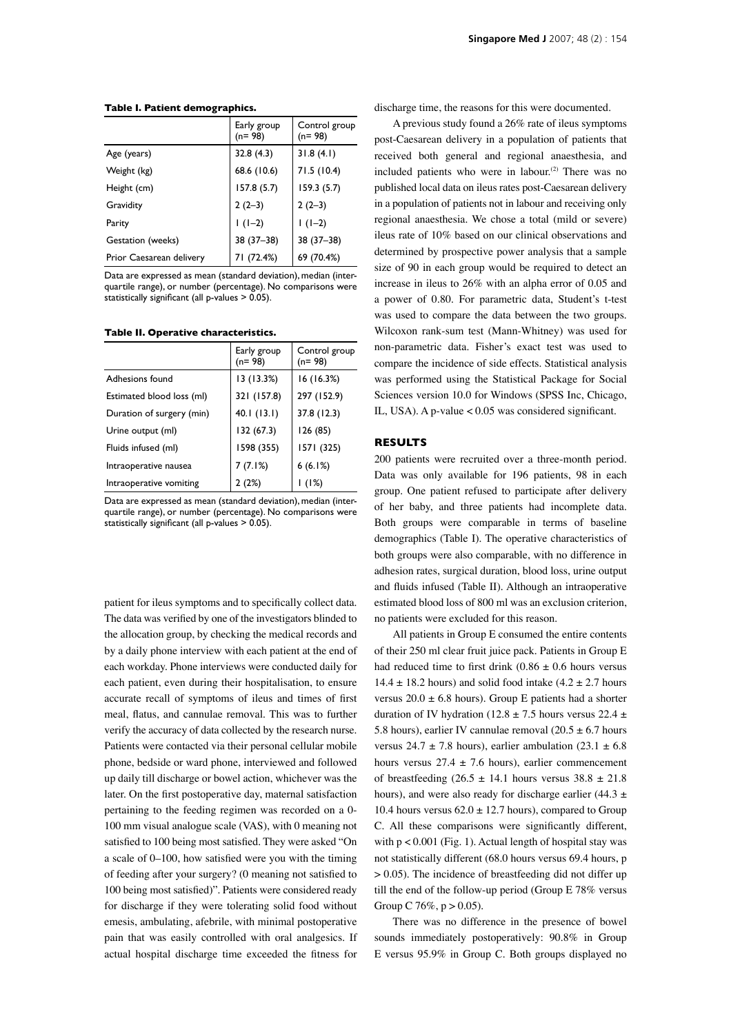Early group (n= 98) Control group (n= 98) Age (years) 32.8 (4.3) 31.8 (4.1) Weight (kg) 68.6 (10.6) 71.5 (10.4) Height (cm) 157.8 (5.7) 159.3 (5.7) Gravidity  $2(2-3)$   $2(2-3)$ Parity  $| \cdot | (1-2) | | (1-2)$ Gestation (weeks) 38 (37–38) 38 (37–38) Prior Caesarean delivery  $\begin{array}{|c|c|c|c|c|c|} \hline 71 & (72.4\%)& 69 & (70.4\%) \hline \end{array}$ 

Data are expressed as mean (standard deviation), median (interquartile range), or number (percentage). No comparisons were statistically significant (all  $p$ -values  $> 0.05$ ).

**Table II. Operative characteristics.**

**Table I. Patient demographics.**

|                           | Early group<br>$(n=98)$ | Control group<br>$(n=98)$ |
|---------------------------|-------------------------|---------------------------|
| Adhesions found           | 13 (13.3%)              | 16(16.3%)                 |
| Estimated blood loss (ml) | 321 (157.8)             | 297 (152.9)               |
| Duration of surgery (min) | 40.1(13.1)              | 37.8 (12.3)               |
| Urine output (ml)         | 132 (67.3)              | 126 (85)                  |
| Fluids infused (ml)       | 1598 (355)              | 1571 (325)                |
| Intraoperative nausea     | 7(7.1%)                 | 6(6.1%)                   |
| Intraoperative vomiting   | 2 (2%)                  | (1%)                      |

Data are expressed as mean (standard deviation), median (interquartile range), or number (percentage). No comparisons were statistically significant (all  $p$ -values  $> 0.05$ ).

patient for ileus symptoms and to specifically collect data. The data was verified by one of the investigators blinded to the allocation group, by checking the medical records and by a daily phone interview with each patient at the end of each workday. Phone interviews were conducted daily for each patient, even during their hospitalisation, to ensure accurate recall of symptoms of ileus and times of first meal, flatus, and cannulae removal. This was to further verify the accuracy of data collected by the research nurse. Patients were contacted via their personal cellular mobile phone, bedside or ward phone, interviewed and followed up daily till discharge or bowel action, whichever was the later. On the first postoperative day, maternal satisfaction pertaining to the feeding regimen was recorded on a 0- 100 mm visual analogue scale (VAS), with 0 meaning not satisfied to 100 being most satisfied. They were asked "On a scale of  $0-100$ , how satisfied were you with the timing of feeding after your surgery? (0 meaning not satisfied to 100 being most satisfied)". Patients were considered ready for discharge if they were tolerating solid food without emesis, ambulating, afebrile, with minimal postoperative pain that was easily controlled with oral analgesics. If actual hospital discharge time exceeded the fitness for discharge time, the reasons for this were documented.

A previous study found a 26% rate of ileus symptoms post-Caesarean delivery in a population of patients that received both general and regional anaesthesia, and included patients who were in labour. $(2)$  There was no published local data on ileus rates post-Caesarean delivery in a population of patients not in labour and receiving only regional anaesthesia. We chose a total (mild or severe) ileus rate of 10% based on our clinical observations and determined by prospective power analysis that a sample size of 90 in each group would be required to detect an increase in ileus to 26% with an alpha error of 0.05 and a power of 0.80. For parametric data, Student's t-test was used to compare the data between the two groups. Wilcoxon rank-sum test (Mann-Whitney) was used for non-parametric data. Fisher's exact test was used to compare the incidence of side effects. Statistical analysis was performed using the Statistical Package for Social Sciences version 10.0 for Windows (SPSS Inc, Chicago, IL, USA). A p-value  $< 0.05$  was considered significant.

### **RESULTS**

200 patients were recruited over a three-month period. Data was only available for 196 patients, 98 in each group. One patient refused to participate after delivery of her baby, and three patients had incomplete data. Both groups were comparable in terms of baseline demographics (Table I). The operative characteristics of both groups were also comparable, with no difference in adhesion rates, surgical duration, blood loss, urine output and fluids infused (Table II). Although an intraoperative estimated blood loss of 800 ml was an exclusion criterion, no patients were excluded for this reason.

All patients in Group E consumed the entire contents of their 250 ml clear fruit juice pack. Patients in Group E had reduced time to first drink  $(0.86 \pm 0.6)$  hours versus  $14.4 \pm 18.2$  hours) and solid food intake  $(4.2 \pm 2.7)$  hours versus  $20.0 \pm 6.8$  hours). Group E patients had a shorter duration of IV hydration (12.8  $\pm$  7.5 hours versus 22.4  $\pm$ 5.8 hours), earlier IV cannulae removal  $(20.5 \pm 6.7)$  hours versus  $24.7 \pm 7.8$  hours), earlier ambulation  $(23.1 \pm 6.8)$ hours versus  $27.4 \pm 7.6$  hours), earlier commencement of breastfeeding  $(26.5 \pm 14.1$  hours versus  $38.8 \pm 21.8$ hours), and were also ready for discharge earlier (44.3  $\pm$ 10.4 hours versus  $62.0 \pm 12.7$  hours), compared to Group C. All these comparisons were significantly different, with p < 0.001 (Fig. 1). Actual length of hospital stay was not statistically different (68.0 hours versus 69.4 hours, p > 0.05). The incidence of breastfeeding did not differ up till the end of the follow-up period (Group E 78% versus Group C 76%,  $p > 0.05$ ).

There was no difference in the presence of bowel sounds immediately postoperatively: 90.8% in Group E versus 95.9% in Group C. Both groups displayed no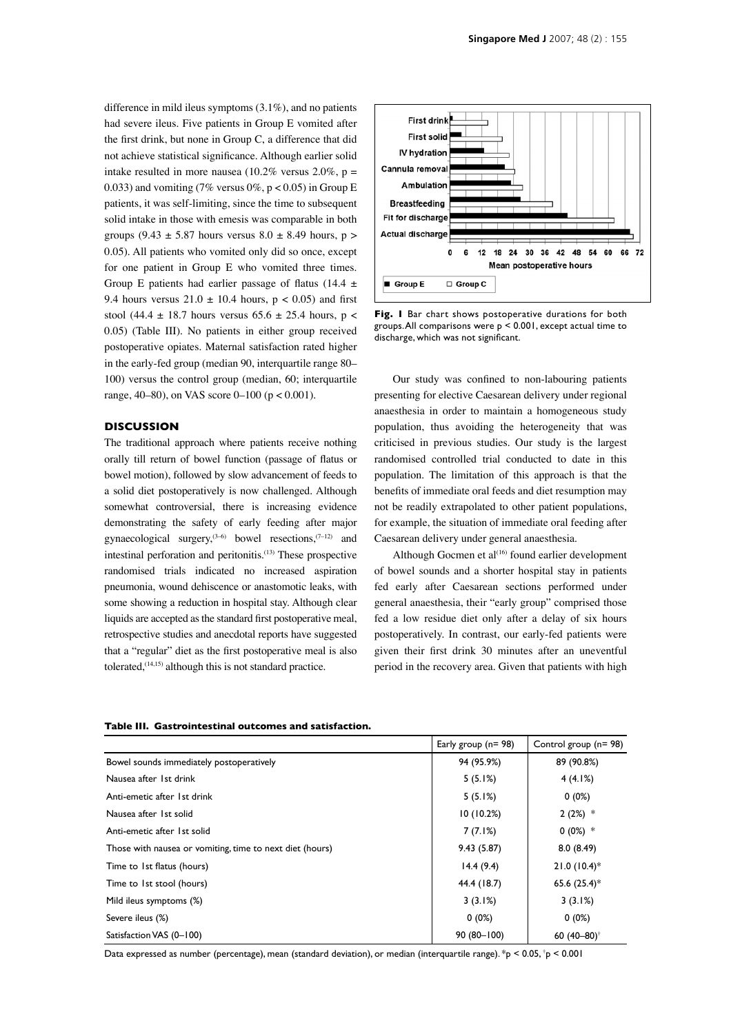difference in mild ileus symptoms (3.1%), and no patients had severe ileus. Five patients in Group E vomited after the first drink, but none in Group C, a difference that did not achieve statistical significance. Although earlier solid intake resulted in more nausea (10.2% versus  $2.0\%$ , p = 0.033) and vomiting (7% versus  $0\%$ , p < 0.05) in Group E patients, it was self-limiting, since the time to subsequent solid intake in those with emesis was comparable in both groups (9.43  $\pm$  5.87 hours versus 8.0  $\pm$  8.49 hours, p > 0.05). All patients who vomited only did so once, except for one patient in Group E who vomited three times. Group E patients had earlier passage of flatus (14.4  $\pm$ 9.4 hours versus  $21.0 \pm 10.4$  hours, p < 0.05) and first stool (44.4  $\pm$  18.7 hours versus 65.6  $\pm$  25.4 hours, p < 0.05) (Table III). No patients in either group received postoperative opiates. Maternal satisfaction rated higher in the early-fed group (median 90, interquartile range 80– 100) versus the control group (median, 60; interquartile range,  $40-80$ ), on VAS score  $0-100$  ( $p < 0.001$ ).

### **DISCUSSION**

The traditional approach where patients receive nothing orally till return of bowel function (passage of flatus or bowel motion), followed by slow advancement of feeds to a solid diet postoperatively is now challenged. Although somewhat controversial, there is increasing evidence demonstrating the safety of early feeding after major gynaecological surgery,  $(3-6)$  bowel resections,  $(7-12)$  and intestinal perforation and peritonitis.(13) These prospective randomised trials indicated no increased aspiration pneumonia, wound dehiscence or anastomotic leaks, with some showing a reduction in hospital stay. Although clear liquids are accepted as the standard first postoperative meal, retrospective studies and anecdotal reports have suggested that a "regular" diet as the first postoperative meal is also tolerated,(14,15) although this is not standard practice.



**Fig. 1** Bar chart shows postoperative durations for both groups. All comparisons were p < 0.001, except actual time to discharge, which was not significant.

Our study was confined to non-labouring patients presenting for elective Caesarean delivery under regional anaesthesia in order to maintain a homogeneous study population, thus avoiding the heterogeneity that was criticised in previous studies. Our study is the largest randomised controlled trial conducted to date in this population. The limitation of this approach is that the benefits of immediate oral feeds and diet resumption may not be readily extrapolated to other patient populations, for example, the situation of immediate oral feeding after Caesarean delivery under general anaesthesia.

Although Gocmen et al<sup>(16)</sup> found earlier development of bowel sounds and a shorter hospital stay in patients fed early after Caesarean sections performed under general anaesthesia, their "early group" comprised those fed a low residue diet only after a delay of six hours postoperatively. In contrast, our early-fed patients were given their first drink 30 minutes after an uneventful period in the recovery area. Given that patients with high

| Tapic III, Gastromicstinal Outcomes and Satisfaction. |  |
|-------------------------------------------------------|--|
|                                                       |  |

**Table III. Gastrointestinal outcomes and satisfaction.**

|                                                          | Early group $(n=98)$ | Control group $(n=98)$   |
|----------------------------------------------------------|----------------------|--------------------------|
| Bowel sounds immediately postoperatively                 | 94 (95.9%)           | 89 (90.8%)               |
| Nausea after 1st drink                                   | 5(5.1%)              | 4(4.1%)                  |
| Anti-emetic after 1st drink                              | 5(5.1%)              | $0(0\%)$                 |
| Nausea after 1st solid                                   | 10(10.2%)            | $2(2%)$ *                |
| Anti-emetic after 1st solid                              | 7(7.1%)              | $0(0\%)$ *               |
| Those with nausea or vomiting, time to next diet (hours) | 9.43(5.87)           | 8.0(8.49)                |
| Time to 1st flatus (hours)                               | 14.4(9.4)            | $21.0(10.4)$ *           |
| Time to 1st stool (hours)                                | 44.4 (18.7)          | 65.6 $(25.4)$ *          |
| Mild ileus symptoms (%)                                  | 3(3.1%)              | 3(3.1%)                  |
| Severe ileus (%)                                         | $0(0\%)$             | $0(0\%)$                 |
| Satisfaction VAS (0-100)                                 | $90(80-100)$         | 60 $(40 - 80)^{\dagger}$ |

Data expressed as number (percentage), mean (standard deviation), or median (interquartile range). \*p < 0.05, † p < 0.001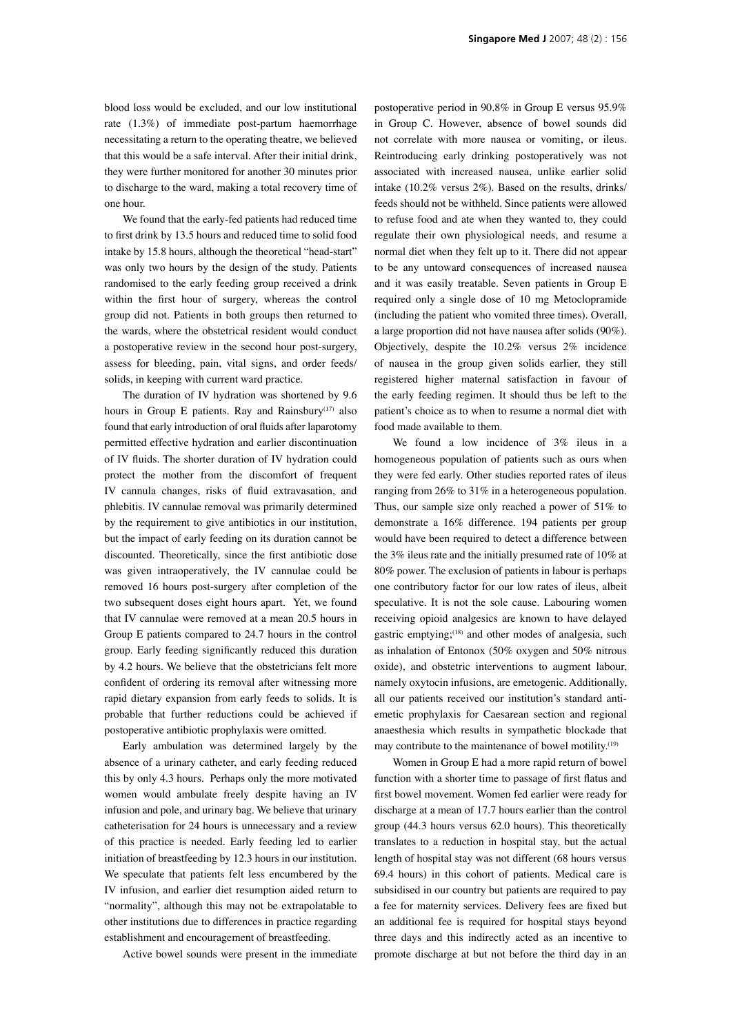blood loss would be excluded, and our low institutional rate (1.3%) of immediate post-partum haemorrhage necessitating a return to the operating theatre, we believed that this would be a safe interval. After their initial drink, they were further monitored for another 30 minutes prior to discharge to the ward, making a total recovery time of one hour.

We found that the early-fed patients had reduced time to first drink by 13.5 hours and reduced time to solid food intake by 15.8 hours, although the theoretical "head-start" was only two hours by the design of the study. Patients randomised to the early feeding group received a drink within the first hour of surgery, whereas the control group did not. Patients in both groups then returned to the wards, where the obstetrical resident would conduct a postoperative review in the second hour post-surgery, assess for bleeding, pain, vital signs, and order feeds/ solids, in keeping with current ward practice.

The duration of IV hydration was shortened by 9.6 hours in Group E patients. Ray and Rainsbury<sup>(17)</sup> also found that early introduction of oral fluids after laparotomy permitted effective hydration and earlier discontinuation of IV fluids. The shorter duration of IV hydration could protect the mother from the discomfort of frequent IV cannula changes, risks of fluid extravasation, and phlebitis. IV cannulae removal was primarily determined by the requirement to give antibiotics in our institution, but the impact of early feeding on its duration cannot be discounted. Theoretically, since the first antibiotic dose was given intraoperatively, the IV cannulae could be removed 16 hours post-surgery after completion of the two subsequent doses eight hours apart. Yet, we found that IV cannulae were removed at a mean 20.5 hours in Group E patients compared to 24.7 hours in the control group. Early feeding significantly reduced this duration by 4.2 hours. We believe that the obstetricians felt more confident of ordering its removal after witnessing more rapid dietary expansion from early feeds to solids. It is probable that further reductions could be achieved if postoperative antibiotic prophylaxis were omitted.

Early ambulation was determined largely by the absence of a urinary catheter, and early feeding reduced this by only 4.3 hours. Perhaps only the more motivated women would ambulate freely despite having an IV infusion and pole, and urinary bag. We believe that urinary catheterisation for 24 hours is unnecessary and a review of this practice is needed. Early feeding led to earlier initiation of breastfeeding by 12.3 hours in our institution. We speculate that patients felt less encumbered by the IV infusion, and earlier diet resumption aided return to "normality", although this may not be extrapolatable to other institutions due to differences in practice regarding establishment and encouragement of breastfeeding.

Active bowel sounds were present in the immediate

postoperative period in 90.8% in Group E versus 95.9% in Group C. However, absence of bowel sounds did not correlate with more nausea or vomiting, or ileus. Reintroducing early drinking postoperatively was not associated with increased nausea, unlike earlier solid intake (10.2% versus 2%). Based on the results, drinks/ feeds should not be withheld. Since patients were allowed to refuse food and ate when they wanted to, they could regulate their own physiological needs, and resume a normal diet when they felt up to it. There did not appear to be any untoward consequences of increased nausea and it was easily treatable. Seven patients in Group E required only a single dose of 10 mg Metoclopramide (including the patient who vomited three times). Overall, a large proportion did not have nausea after solids (90%). Objectively, despite the 10.2% versus 2% incidence of nausea in the group given solids earlier, they still registered higher maternal satisfaction in favour of the early feeding regimen. It should thus be left to the patient's choice as to when to resume a normal diet with food made available to them.

We found a low incidence of 3% ileus in a homogeneous population of patients such as ours when they were fed early. Other studies reported rates of ileus ranging from 26% to 31% in a heterogeneous population. Thus, our sample size only reached a power of 51% to demonstrate a 16% difference. 194 patients per group would have been required to detect a difference between the 3% ileus rate and the initially presumed rate of 10% at 80% power. The exclusion of patients in labour is perhaps one contributory factor for our low rates of ileus, albeit speculative. It is not the sole cause. Labouring women receiving opioid analgesics are known to have delayed gastric emptying;(18) and other modes of analgesia, such as inhalation of Entonox (50% oxygen and 50% nitrous oxide), and obstetric interventions to augment labour, namely oxytocin infusions, are emetogenic. Additionally, all our patients received our institution's standard antiemetic prophylaxis for Caesarean section and regional anaesthesia which results in sympathetic blockade that may contribute to the maintenance of bowel motility.<sup>(19)</sup>

Women in Group E had a more rapid return of bowel function with a shorter time to passage of first flatus and first bowel movement. Women fed earlier were ready for discharge at a mean of 17.7 hours earlier than the control group (44.3 hours versus 62.0 hours). This theoretically translates to a reduction in hospital stay, but the actual length of hospital stay was not different (68 hours versus 69.4 hours) in this cohort of patients. Medical care is subsidised in our country but patients are required to pay a fee for maternity services. Delivery fees are fixed but an additional fee is required for hospital stays beyond three days and this indirectly acted as an incentive to promote discharge at but not before the third day in an